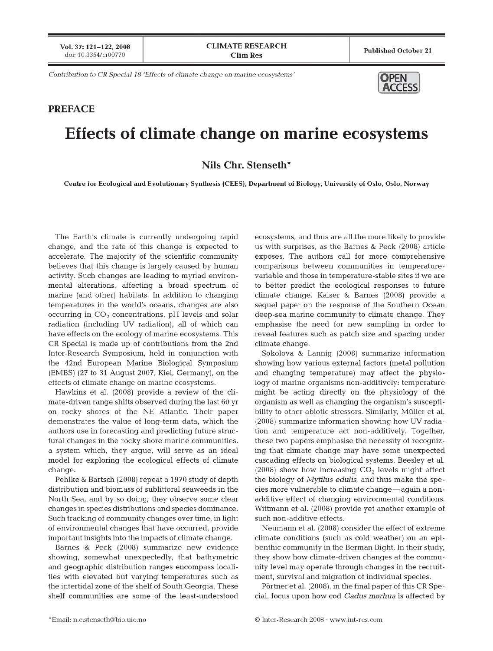Vol. 37: 121-122. 2008 doi: 10.3354/cr00770

**CLIMATE RESEARCH Clim Res**

**Published O ctober 21**

*Contribution to CR Special 18 'Effects of climate change on marine ecosystems'* 

## **PREFACE**

## **OPEN ACCESS**

## **Effects of climate change on marine ecosystems**

**Nils Chr. Stenseth\***

Centre for Ecological and Evolutionary Synthesis (CEES), Department of Biology, University of Oslo, Oslo, Norway

The Earth's climate is currently undergoing rapid change, and the rate of this change is expected to accelerate. The majority of the scientific community believes that this change is largely caused by human activity. Such changes are leading to myriad environmental alterations, affecting a broad spectrum of marine (and other) habitats. In addition to changing tem peratures in the world's oceans, changes are also occurring in  $CO<sub>2</sub>$  concentrations, pH levels and solar radiation (including UV radiation), all of which can have effects on the ecology of marine ecosystems. This CR Special is made up of contributions from the 2nd Inter-Research Symposium, held in conjunction with the 42nd European Marine Biological Symposium (EMBS) (27 to 31 August 2007, Kiel, Germany), on the effects of climate change on marine ecosystems.

Hawkins et al. (2008) provide a review of the climate-driven range shifts observed during the last 60 yr on rocky shores of the NE Atlantic. Their paper demonstrates the value of long-term data, which the authors use in forecasting and predicting future structural changes in the rocky shore marine communities, a system which, they argue, will serve as an ideal model for exploring the ecological effects of climate change.

Pehlke & Bartsch (2008) repeat a 1970 study of depth distribution and biomass of sublittoral seaweeds in the North Sea, and by so doing, they observe some clear changes in species distributions and species dominance. Such tracking of community changes over time, in light of environmental changes that have occurred, provide im portant insights into the impacts of climate change.

Barnes & Peck (2008) summarize new evidence showing, somewhat unexpectedly, that bathymetric and geographic distribution ranges encompass localities with elevated but varying temperatures such as the intertidal zone of the shelf of South Georgia. These shelf communities are some of the least-understood

ecosystems, and thus are all the more likely to provide us with surprises, as the Barnes & Peck (2008) article exposes. The authors call for more comprehensive comparisons between communities in temperaturevariable and those in temperature-stable sites if we are to better predict the ecological responses to future climate change. Kaiser & Barnes (2008) provide a sequel paper on the response of the Southern Ocean deep-sea marine community to climate change. They emphasise the need for new sampling in order to reveal features such as patch size and spacing under climate change.

Sokolova & Lannig (2008) summarize information showing how various external factors (metal pollution and changing temperature) may affect the physiology of marine organisms non-additively: temperature might be acting directly on the physiology of the organism as well as changing the organism 's susceptibility to other abiotic stressors. Similarly, Müller et al. (2008) summarize information showing how UV radiation and temperature act non-additively. Together, these two papers emphasise the necessity of recognizing that climate change may have some unexpected cascading effects on biological systems. Beesley et al. (2008) show how increasing  $CO<sub>2</sub>$  levels might affect the biology of *Mytilus edulis*, and thus make the species more vulnerable to climate change—again a nonadditive effect of changing environmental conditions. Wittmann et al. (2008) provide yet another example of such non-additive effects.

Neumann et al. (2008) consider the effect of extreme climate conditions (such as cold weather) on an epibenthic community in the Berman Bight. In their study, they show how climate-driven changes at the community level may operate through changes in the recruitment, survival and migration of individual species.

Pörtner et al. (2008), in the final paper of this CR Special, focus upon how cod *Gadus morhua* is affected by